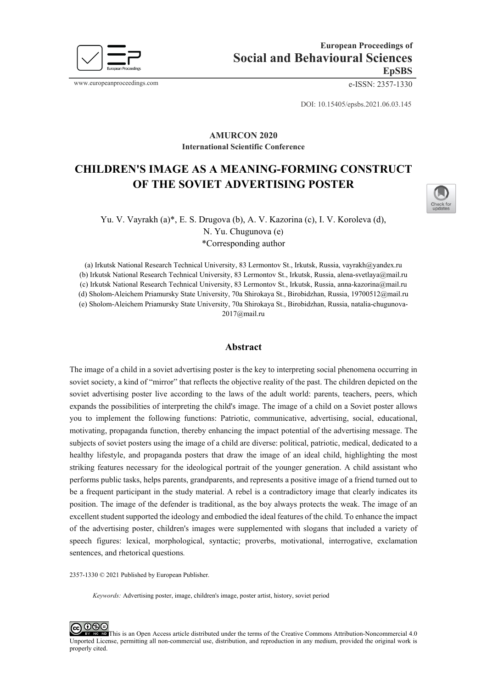

www.europeanproceedings.com e-ISSN: 2357-1330

DOI: 10.15405/epsbs.2021.06.03.145

## **AMURCON 2020 International Scientific Conference**

# **CHILDREN'S IMAGE AS A MEANING-FORMING CONSTRUCT OF THE SOVIET ADVERTISING POSTER**



Yu. V. Vayrakh (a)\*, E. S. Drugova (b), А. V. Kazorina (с), I. V. Koroleva (d), N. Yu. Chugunova (e) \*Corresponding author

(a) Irkutsk National Research Technical University, 83 Lermontov St., Irkutsk, Russia[, vayrakh@yandex.ru](mailto:vayrakh@yandex.ru) (b) Irkutsk National Research Technical University, 83 Lermontov St., Irkutsk, Russia, [alena-svetlaya@mail.ru](mailto:alena-svetlaya@mail.ru) (с) Irkutsk National Research Technical University, 83 Lermontov St., Irkutsk, Russia, anna-[kazorina@mail.ru](mailto:anna-kazorina@mail.ru) (d) Sholom-Aleichem Priamursky State University, 70a Shirokaya St., Birobidzhan, Russia, [19700512@mail.ru](mailto:19700512@mail.ru) (e) Sholom-Aleichem Priamursky State University, 70a Shirokaya St., Birobidzhan, Russia, natalia-chugunova-2017@mail.ru

## **Abstract**

The image of a child in a soviet advertising poster is the key to interpreting social phenomena occurring in soviet society, a kind of "mirror" that reflects the objective reality of the past. The children depicted on the soviet advertising poster live according to the laws of the adult world: parents, teachers, peers, which expands the possibilities of interpreting the child's image. The image of a child on a Soviet poster allows you to implement the following functions: Patriotic, communicative, advertising, social, educational, motivating, propaganda function, thereby enhancing the impact potential of the advertising message. The subjects of soviet posters using the image of a child are diverse: political, patriotic, medical, dedicated to a healthy lifestyle, and propaganda posters that draw the image of an ideal child, highlighting the most striking features necessary for the ideological portrait of the younger generation. A child assistant who performs public tasks, helps parents, grandparents, and represents a positive image of a friend turned out to be a frequent participant in the study material. A rebel is a contradictory image that clearly indicates its position. The image of the defender is traditional, as the boy always protects the weak. The image of an excellent student supported the ideology and embodied the ideal features of the child. To enhance the impact of the advertising poster, children's images were supplemented with slogans that included a variety of speech figures: lexical, morphological, syntactic; proverbs, motivational, interrogative, exclamation sentences, and rhetorical questions*.*

2357-1330 © 2021 Published by European Publisher.

*Keywords:* Advertising poster, image, children's image, poster artist, history, soviet period

௦֍∈ This is an Open Access article distributed under the terms of the Creative Commons Attribution-Noncommercial 4.0 Unported License, permitting all non-commercial use, distribution, and reproduction in any medium, provided the original work is properly cited.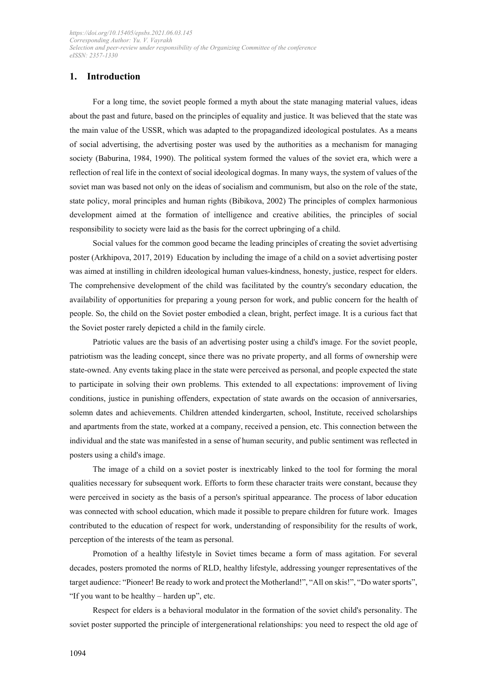# **1. Introduction**

For a long time, the soviet people formed a myth about the state managing material values, ideas about the past and future, based on the principles of equality and justice. It was believed that the state was the main value of the USSR, which was adapted to the propagandized ideological postulates. As a means of social advertising, the advertising poster was used by the authorities as a mechanism for managing society (Baburina, 1984, 1990). The political system formed the values of the soviet era, which were a reflection of real life in the context of social ideological dogmas. In many ways, the system of values of the soviet man was based not only on the ideas of socialism and communism, but also on the role of the state, state policy, moral principles and human rights (Bibikova, 2002) The principles of complex harmonious development aimed at the formation of intelligence and creative abilities, the principles of social responsibility to society were laid as the basis for the correct upbringing of a child.

Social values for the common good became the leading principles of creating the soviet advertising poster (Arkhipova, 2017, 2019) Education by including the image of a child on a soviet advertising poster was aimed at instilling in children ideological human values-kindness, honesty, justice, respect for elders. The comprehensive development of the child was facilitated by the country's secondary education, the availability of opportunities for preparing a young person for work, and public concern for the health of people. So, the child on the Soviet poster embodied a clean, bright, perfect image. It is a curious fact that the Soviet poster rarely depicted a child in the family circle.

Patriotic values are the basis of an advertising poster using a child's image. For the soviet people, patriotism was the leading concept, since there was no private property, and all forms of ownership were state-owned. Any events taking place in the state were perceived as personal, and people expected the state to participate in solving their own problems. This extended to all expectations: improvement of living conditions, justice in punishing offenders, expectation of state awards on the occasion of anniversaries, solemn dates and achievements. Children attended kindergarten, school, Institute, received scholarships and apartments from the state, worked at a company, received a pension, etc. This connection between the individual and the state was manifested in a sense of human security, and public sentiment was reflected in posters using a child's image.

The image of a child on a soviet poster is inextricably linked to the tool for forming the moral qualities necessary for subsequent work. Efforts to form these character traits were constant, because they were perceived in society as the basis of a person's spiritual appearance. The process of labor education was connected with school education, which made it possible to prepare children for future work. Images contributed to the education of respect for work, understanding of responsibility for the results of work, perception of the interests of the team as personal.

Promotion of a healthy lifestyle in Soviet times became a form of mass agitation. For several decades, posters promoted the norms of RLD, healthy lifestyle, addressing younger representatives of the target audience: "Pioneer! Be ready to work and protect the Motherland!", "All on skis!", "Do water sports", "If you want to be healthy – harden up", etc.

Respect for elders is a behavioral modulator in the formation of the soviet child's personality. The soviet poster supported the principle of intergenerational relationships: you need to respect the old age of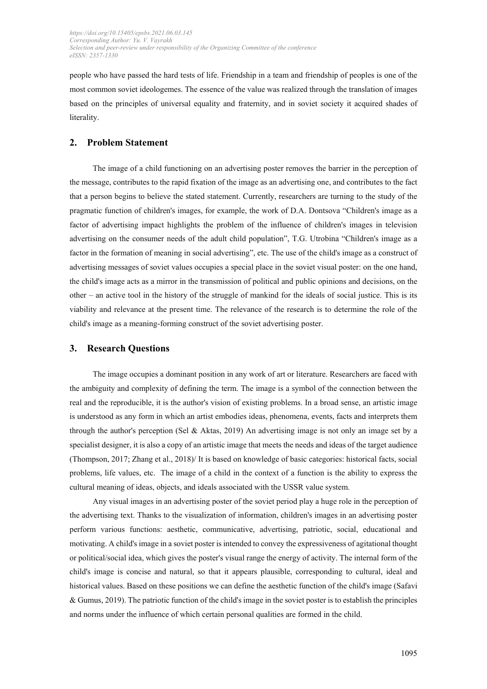people who have passed the hard tests of life. Friendship in a team and friendship of peoples is one of the most common soviet ideologemes. The essence of the value was realized through the translation of images based on the principles of universal equality and fraternity, and in soviet society it acquired shades of literality.

# **2. Problem Statement**

The image of a child functioning on an advertising poster removes the barrier in the perception of the message, contributes to the rapid fixation of the image as an advertising one, and contributes to the fact that a person begins to believe the stated statement. Currently, researchers are turning to the study of the pragmatic function of children's images, for example, the work of D.A. Dontsova "Children's image as a factor of advertising impact highlights the problem of the influence of children's images in television advertising on the consumer needs of the adult child population", T.G. Utrobina "Children's image as a factor in the formation of meaning in social advertising", etc. The use of the child's image as a construct of advertising messages of soviet values occupies a special place in the soviet visual poster: on the one hand, the child's image acts as a mirror in the transmission of political and public opinions and decisions, on the other – an active tool in the history of the struggle of mankind for the ideals of social justice. This is its viability and relevance at the present time. The relevance of the research is to determine the role of the child's image as a meaning-forming construct of the soviet advertising poster.

### **3. Research Questions**

The image occupies a dominant position in any work of art or literature. Researchers are faced with the ambiguity and complexity of defining the term. The image is a symbol of the connection between the real and the reproducible, it is the author's vision of existing problems. In a broad sense, an artistic image is understood as any form in which an artist embodies ideas, phenomena, events, facts and interprets them through the author's perception (Sel & Aktas, 2019) An advertising image is not only an image set by a specialist designer, it is also a copy of an artistic image that meets the needs and ideas of the target audience (Thompson, 2017; Zhang et al., 2018)/ It is based on knowledge of basic categories: historical facts, social problems, life values, etc. The image of a child in the context of a function is the ability to express the cultural meaning of ideas, objects, and ideals associated with the USSR value system.

Any visual images in an advertising poster of the soviet period play a huge role in the perception of the advertising text. Thanks to the visualization of information, children's images in an advertising poster perform various functions: aesthetic, communicative, advertising, patriotic, social, educational and motivating. A child's image in a soviet poster is intended to convey the expressiveness of agitational thought or political/social idea, which gives the poster's visual range the energy of activity. The internal form of the child's image is concise and natural, so that it appears plausible, corresponding to cultural, ideal and historical values. Based on these positions we can define the aesthetic function of the child's image (Safavi & Gumus, 2019). The patriotic function of the child's image in the soviet poster is to establish the principles and norms under the influence of which certain personal qualities are formed in the child.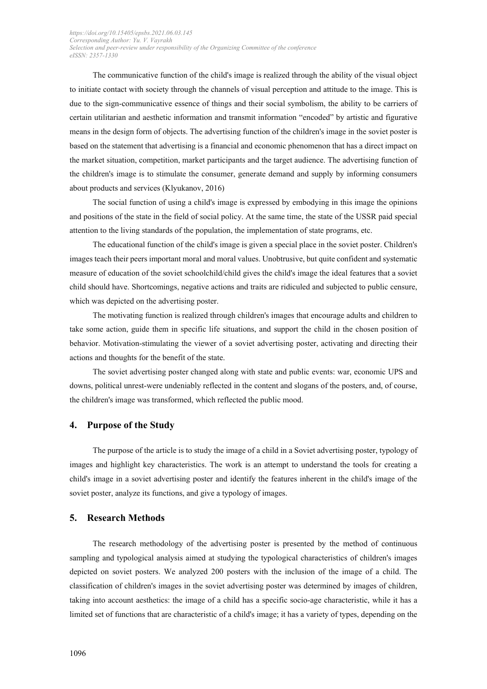The communicative function of the child's image is realized through the ability of the visual object to initiate contact with society through the channels of visual perception and attitude to the image. This is due to the sign-communicative essence of things and their social symbolism, the ability to be carriers of certain utilitarian and aesthetic information and transmit information "encoded" by artistic and figurative means in the design form of objects. The advertising function of the children's image in the soviet poster is based on the statement that advertising is a financial and economic phenomenon that has a direct impact on the market situation, competition, market participants and the target audience. The advertising function of the children's image is to stimulate the consumer, generate demand and supply by informing consumers about products and services (Klyukanov, 2016)

The social function of using a child's image is expressed by embodying in this image the opinions and positions of the state in the field of social policy. At the same time, the state of the USSR paid special attention to the living standards of the population, the implementation of state programs, etc.

The educational function of the child's image is given a special place in the soviet poster. Children's images teach their peers important moral and moral values. Unobtrusive, but quite confident and systematic measure of education of the soviet schoolchild/child gives the child's image the ideal features that a soviet child should have. Shortcomings, negative actions and traits are ridiculed and subjected to public censure, which was depicted on the advertising poster.

The motivating function is realized through children's images that encourage adults and children to take some action, guide them in specific life situations, and support the child in the chosen position of behavior. Motivation-stimulating the viewer of a soviet advertising poster, activating and directing their actions and thoughts for the benefit of the state.

The soviet advertising poster changed along with state and public events: war, economic UPS and downs, political unrest-were undeniably reflected in the content and slogans of the posters, and, of course, the children's image was transformed, which reflected the public mood.

#### **4. Purpose of the Study**

The purpose of the article is to study the image of a child in a Soviet advertising poster, typology of images and highlight key characteristics. The work is an attempt to understand the tools for creating a child's image in a soviet advertising poster and identify the features inherent in the child's image of the soviet poster, analyze its functions, and give a typology of images.

## **5. Research Methods**

The research methodology of the advertising poster is presented by the method of continuous sampling and typological analysis aimed at studying the typological characteristics of children's images depicted on soviet posters. We analyzed 200 posters with the inclusion of the image of a child. The classification of children's images in the soviet advertising poster was determined by images of children, taking into account aesthetics: the image of a child has a specific socio-age characteristic, while it has a limited set of functions that are characteristic of a child's image; it has a variety of types, depending on the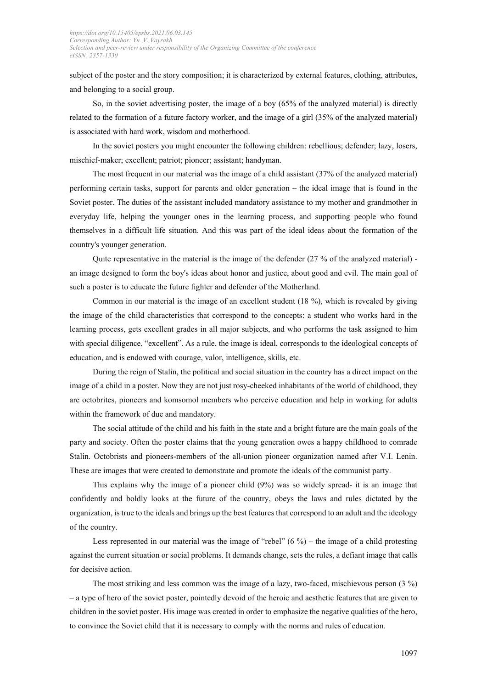subject of the poster and the story composition; it is characterized by external features, clothing, attributes, and belonging to a social group.

So, in the soviet advertising poster, the image of a boy (65% of the analyzed material) is directly related to the formation of a future factory worker, and the image of a girl (35% of the analyzed material) is associated with hard work, wisdom and motherhood.

In the soviet posters you might encounter the following children: rebellious; defender; lazy, losers, mischief-maker; excellent; patriot; pioneer; assistant; handyman.

The most frequent in our material was the image of a child assistant (37% of the analyzed material) performing certain tasks, support for parents and older generation – the ideal image that is found in the Soviet poster. The duties of the assistant included mandatory assistance to my mother and grandmother in everyday life, helping the younger ones in the learning process, and supporting people who found themselves in a difficult life situation. And this was part of the ideal ideas about the formation of the country's younger generation.

Quite representative in the material is the image of the defender (27 % of the analyzed material) an image designed to form the boy's ideas about honor and justice, about good and evil. The main goal of such a poster is to educate the future fighter and defender of the Motherland.

Common in our material is the image of an excellent student (18 %), which is revealed by giving the image of the child characteristics that correspond to the concepts: a student who works hard in the learning process, gets excellent grades in all major subjects, and who performs the task assigned to him with special diligence, "excellent". As a rule, the image is ideal, corresponds to the ideological concepts of education, and is endowed with courage, valor, intelligence, skills, etc.

During the reign of Stalin, the political and social situation in the country has a direct impact on the image of a child in a poster. Now they are not just rosy-cheeked inhabitants of the world of childhood, they are octobrites, pioneers and komsomol members who perceive education and help in working for adults within the framework of due and mandatory.

The social attitude of the child and his faith in the state and a bright future are the main goals of the party and society. Often the poster claims that the young generation owes a happy childhood to comrade Stalin. Octobrists and pioneers-members of the all-union pioneer organization named after V.I. Lenin. These are images that were created to demonstrate and promote the ideals of the communist party.

This explains why the image of a pioneer child (9%) was so widely spread- it is an image that confidently and boldly looks at the future of the country, obeys the laws and rules dictated by the organization, is true to the ideals and brings up the best features that correspond to an adult and the ideology of the country.

Less represented in our material was the image of "rebel"  $(6\%)$  – the image of a child protesting against the current situation or social problems. It demands change, sets the rules, a defiant image that calls for decisive action.

The most striking and less common was the image of a lazy, two-faced, mischievous person (3 %) – a type of hero of the soviet poster, pointedly devoid of the heroic and aesthetic features that are given to children in the soviet poster. His image was created in order to emphasize the negative qualities of the hero, to convince the Soviet child that it is necessary to comply with the norms and rules of education.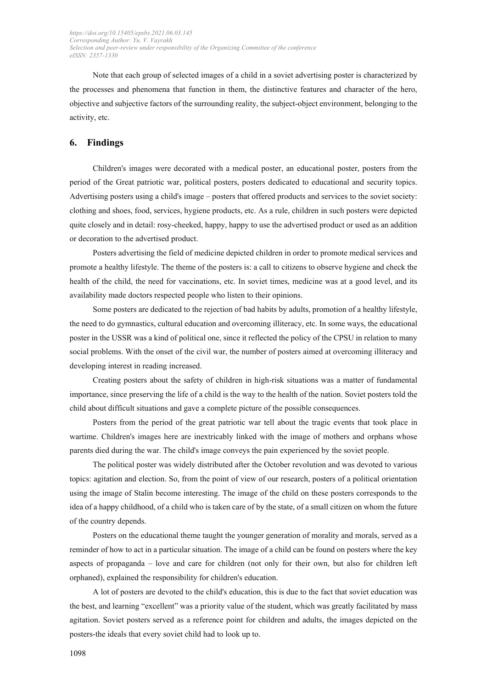Note that each group of selected images of a child in a soviet advertising poster is characterized by the processes and phenomena that function in them, the distinctive features and character of the hero, objective and subjective factors of the surrounding reality, the subject-object environment, belonging to the activity, etc.

## **6. Findings**

Children's images were decorated with a medical poster, an educational poster, posters from the period of the Great patriotic war, political posters, posters dedicated to educational and security topics. Advertising posters using a child's image – posters that offered products and services to the soviet society: clothing and shoes, food, services, hygiene products, etc. As a rule, children in such posters were depicted quite closely and in detail: rosy-cheeked, happy, happy to use the advertised product or used as an addition or decoration to the advertised product.

Posters advertising the field of medicine depicted children in order to promote medical services and promote a healthy lifestyle. The theme of the posters is: a call to citizens to observe hygiene and check the health of the child, the need for vaccinations, etc. In soviet times, medicine was at a good level, and its availability made doctors respected people who listen to their opinions.

Some posters are dedicated to the rejection of bad habits by adults, promotion of a healthy lifestyle, the need to do gymnastics, cultural education and overcoming illiteracy, etc. In some ways, the educational poster in the USSR was a kind of political one, since it reflected the policy of the CPSU in relation to many social problems. With the onset of the civil war, the number of posters aimed at overcoming illiteracy and developing interest in reading increased.

Creating posters about the safety of children in high-risk situations was a matter of fundamental importance, since preserving the life of a child is the way to the health of the nation. Soviet posters told the child about difficult situations and gave a complete picture of the possible consequences.

Posters from the period of the great patriotic war tell about the tragic events that took place in wartime. Children's images here are inextricably linked with the image of mothers and orphans whose parents died during the war. The child's image conveys the pain experienced by the soviet people.

The political poster was widely distributed after the October revolution and was devoted to various topics: agitation and election. So, from the point of view of our research, posters of a political orientation using the image of Stalin become interesting. The image of the child on these posters corresponds to the idea of a happy childhood, of a child who is taken care of by the state, of a small citizen on whom the future of the country depends.

Posters on the educational theme taught the younger generation of morality and morals, served as a reminder of how to act in a particular situation. The image of a child can be found on posters where the key aspects of propaganda – love and care for children (not only for their own, but also for children left orphaned), explained the responsibility for children's education.

A lot of posters are devoted to the child's education, this is due to the fact that soviet education was the best, and learning "excellent" was a priority value of the student, which was greatly facilitated by mass agitation. Soviet posters served as a reference point for children and adults, the images depicted on the posters-the ideals that every soviet child had to look up to.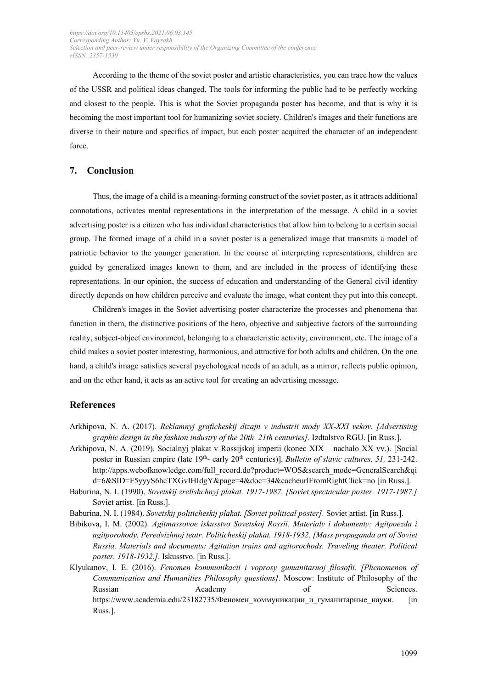According to the theme of the soviet poster and artistic characteristics, you can trace how the values of the USSR and political ideas changed. The tools for informing the public had to be perfectly working and closest to the people. This is what the Soviet propaganda poster has become, and that is why it is becoming the most important tool for humanizing soviet society. Children's images and their functions are diverse in their nature and specifics of impact, but each poster acquired the character of an independent force.

## **7. Conclusion**

Thus, the image of a child is a meaning-forming construct of the soviet poster, as it attracts additional connotations, activates mental representations in the interpretation of the message. A child in a soviet advertising poster is a citizen who has individual characteristics that allow him to belong to a certain social group. The formed image of a child in a soviet poster is a generalized image that transmits a model of patriotic behavior to the younger generation. In the course of interpreting representations, children are guided by generalized images known to them, and are included in the process of identifying these representations. In our opinion, the success of education and understanding of the General civil identity directly depends on how children perceive and evaluate the image, what content they put into this concept.

Children's images in the Soviet advertising poster characterize the processes and phenomena that function in them, the distinctive positions of the hero, objective and subjective factors of the surrounding reality, subject-object environment, belonging to a characteristic activity, environment, etc. The image of a child makes a soviet poster interesting, harmonious, and attractive for both adults and children. On the one hand, a child's image satisfies several psychological needs of an adult, as a mirror, reflects public opinion, and on the other hand, it acts as an active tool for creating an advertising message.

## **References**

- Arkhipova, N. A. (2017). *Reklamnyj graficheskij dizajn v industrii mody XX-XXI vekov. [Advertising graphic design in the fashion industry of the 20th–21th centuries].* Izdtalstvo RGU. [in Russ.].
- Arkhipova, N. A. (2019). Socialnyj plakat v Rossijskoj imperii (konec XIX nachalo XX vv.). [Social poster in Russian empire (late 19<sup>th</sup>- early 20<sup>th</sup> centuries)]. *Bulletin of slavic cultures*, 51, 231-242. [http://apps.webofknowledge.com/full\\_record.do?product=WOS&search\\_mode=GeneralSearch&qi](http://apps.webofknowledge.com/full_record.do?product=WOS&search_mode=GeneralSearch&qid=6&SID=F5yyyS6hcTXGvIHIdgY&page=4&doc=34&cacheurlFromRightClick=no) [d=6&SID=F5yyyS6hcTXGvIHIdgY&page=4&doc=34&cacheurlFromRightClick=no](http://apps.webofknowledge.com/full_record.do?product=WOS&search_mode=GeneralSearch&qid=6&SID=F5yyyS6hcTXGvIHIdgY&page=4&doc=34&cacheurlFromRightClick=no) [in Russ.].
- Baburina, N. I. (1990). *Sovetskij zrelishchnyj plakat. 1917-1987. [Soviet spectacular poster. 1917-1987.]* Soviet artist. [in Russ.].
- Baburina, N. I. (1984). *Sovetskij politicheskij plakat. [Soviet political poster].* Soviet artist. [in Russ.].
- Bibikova, I. M. (2002). *Agitmassovoe iskusstvo Sovetskoj Rossii. Materialy i dokumenty: Agitpoezda i agitporohody. Peredvizhnoj teatr. Politicheskij plakat. 1918-1932. [Mass propaganda art of Soviet Russia. Materials and documents: Agitation trains and agitorochods. Traveling theater. Political poster. 1918-1932.].* Iskusstvo. [in Russ.].
- Klyukanov, I. E. (2016). *Fenomen kommunikacii i voprosy gumanitarnoj filosofii. [Phenomenon of Communication and Humanities Philosophy questions].* Moscow: Institute of Philosophy of the Russian **Academy of Sciences**. [https://www.academia.edu/23182735/](https://www.academia.edu/23182735/%D0%A4%D0%B5%D0%BD%D0%BE%D0%BC%D0%B5%D0%BD_%D0%BA%D0%BE%D0%BC%D0%BC%D1%83%D0%BD%D0%B8%D0%BA%D0%B0%D1%86%D0%B8%D0%B8_%D0%B8_%D0%B3%D1%83%D0%BC%D0%B0%D0%BD%D0%B8%D1%82%D0%B0%D1%80%D0%BD%D1%8B%D0%B5_%D0%BD%D0%B0%D1%83%D0%BA%D0%B8)Феномен коммуникации и гуманитарные науки. [in Russ.].